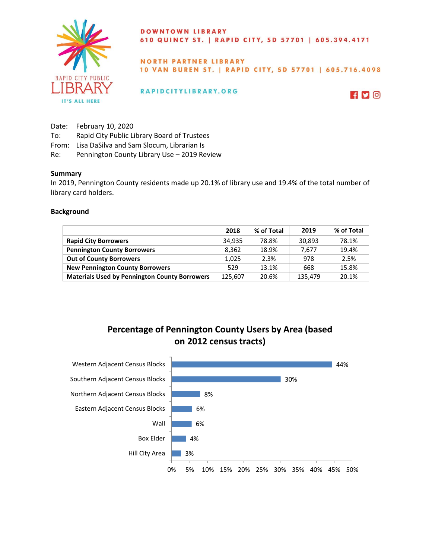

### DOWNTOWN LIBRARY 610 QUINCY ST. | RAPID CITY, SD 57701 | 605.394.4171

## **NORTH PARTNER LIBRARY** 10 VAN BUREN ST. | RAPID CITY, SD 57701 | 605.716.4098

## RAPIDCITYLIBRARY.ORG



- Date: February 10, 2020
- To: Rapid City Public Library Board of Trustees
- From: Lisa DaSilva and Sam Slocum, Librarian Is
- Re: Pennington County Library Use 2019 Review

#### **Summary**

In 2019, Pennington County residents made up 20.1% of library use and 19.4% of the total number of library card holders.

#### **Background**

|                                                      | 2018    | % of Total | 2019    | % of Total |
|------------------------------------------------------|---------|------------|---------|------------|
| <b>Rapid City Borrowers</b>                          | 34.935  | 78.8%      | 30,893  | 78.1%      |
| <b>Pennington County Borrowers</b>                   | 8.362   | 18.9%      | 7.677   | 19.4%      |
| <b>Out of County Borrowers</b>                       | 1.025   | 2.3%       | 978     | 2.5%       |
| <b>New Pennington County Borrowers</b>               | 529     | 13.1%      | 668     | 15.8%      |
| <b>Materials Used by Pennington County Borrowers</b> | 125,607 | 20.6%      | 135,479 | 20.1%      |

# **Percentage of Pennington County Users by Area (based on 2012 census tracts)**

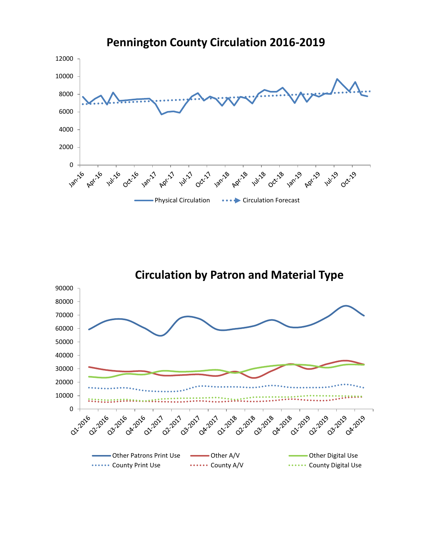